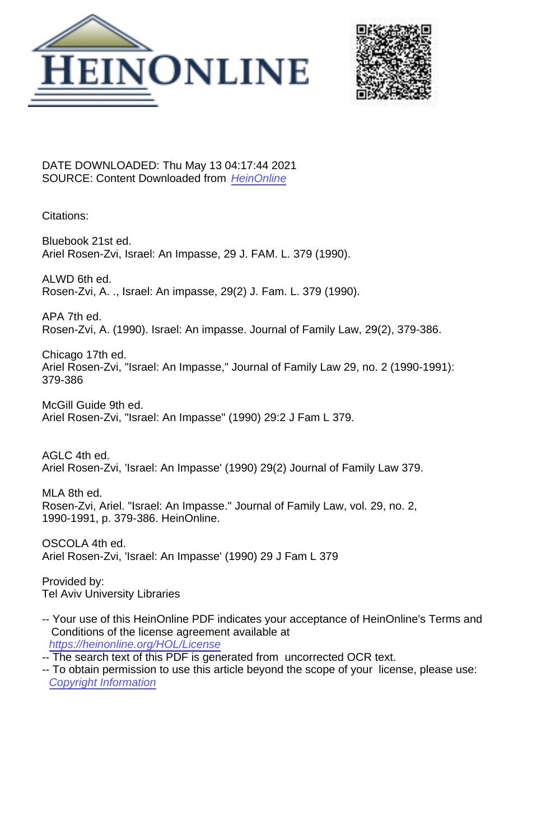



DATE DOWNLOADED: Thu May 13 04:17:44 2021 SOURCE: Content Downloaded from [HeinOnline](https://heinonline.org/HOL/Page?handle=hein.journals/branlaj29&collection=journals&id=389&startid=&endid=396)

Citations:

Bluebook 21st ed. Ariel Rosen-Zvi, Israel: An Impasse, 29 J. FAM. L. 379 (1990).

ALWD 6th ed. Rosen-Zvi, A. ., Israel: An impasse, 29(2) J. Fam. L. 379 (1990).

APA 7th ed. Rosen-Zvi, A. (1990). Israel: An impasse. Journal of Family Law, 29(2), 379-386.

Chicago 17th ed. Ariel Rosen-Zvi, "Israel: An Impasse," Journal of Family Law 29, no. 2 (1990-1991): 379-386

McGill Guide 9th ed. Ariel Rosen-Zvi, "Israel: An Impasse" (1990) 29:2 J Fam L 379.

AGLC 4th ed. Ariel Rosen-Zvi, 'Israel: An Impasse' (1990) 29(2) Journal of Family Law 379.

MLA 8th ed. Rosen-Zvi, Ariel. "Israel: An Impasse." Journal of Family Law, vol. 29, no. 2, 1990-1991, p. 379-386. HeinOnline.

OSCOLA 4th ed. Ariel Rosen-Zvi, 'Israel: An Impasse' (1990) 29 J Fam L 379

Provided by: Tel Aviv University Libraries

-- Your use of this HeinOnline PDF indicates your acceptance of HeinOnline's Terms and Conditions of the license agreement available at <https://heinonline.org/HOL/License>

-- The search text of this PDF is generated from uncorrected OCR text.

-- To obtain permission to use this article beyond the scope of your license, please use: [Copyright Information](https://www.copyright.com/ccc/basicSearch.do?operation=go&searchType=0&lastSearch=simple&all=on&titleOrStdNo=1531-0183)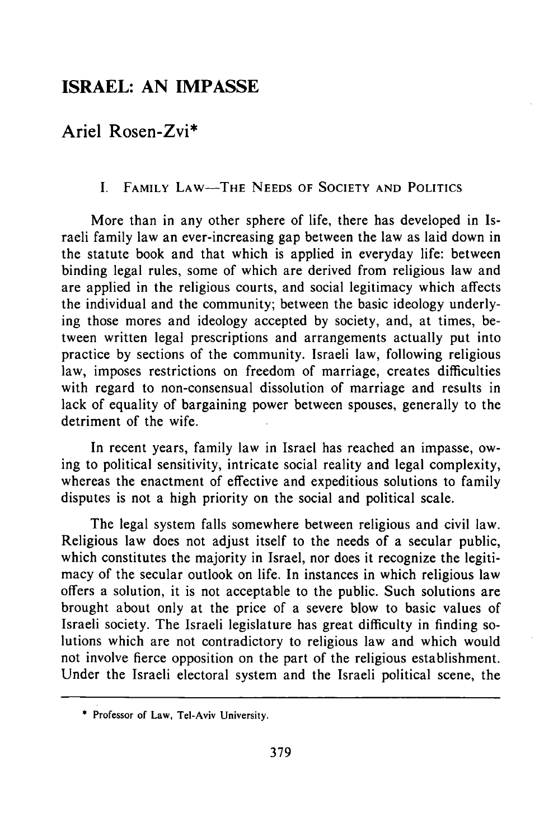# **ISRAEL: AN IMPASSE**

# **Ariel Rosen-Zvi\***

## **I.** FAMILY LAW-THE **NEEDS** OF **SOCIETY AND** POLITICS

More than in any other sphere of life, there has developed in Israeli family law an ever-increasing gap between the law as laid down in the statute book and that which is applied in everyday life: between binding legal rules, some of which are derived from religious law and are applied in the religious courts, and social legitimacy which affects the individual and the community; between the basic ideology underlying those mores and ideology accepted **by** society, and, at times, between written legal prescriptions and arrangements actually put into practice **by** sections of the community. Israeli law, following religious law, imposes restrictions on freedom of marriage, creates difficulties with regard to non-consensual dissolution of marriage and results in lack of equality of bargaining power between spouses, generally to the detriment of the wife.

In recent years, family law in Israel has reached an impasse, owing to political sensitivity, intricate social reality and legal complexity, whereas the enactment of effective and expeditious solutions to family disputes is not a high priority on the social and political scale.

The legal system falls somewhere between religious and civil law. Religious law does not adjust itself to the needs of a secular public, which constitutes the majority in Israel, nor does it recognize the legitimacy of the secular outlook on life. In instances in which religious law offers a solution, it is not acceptable to the public. Such solutions are brought about only at the price of a severe blow to basic values of Israeli society. The Israeli legislature has great difficulty in finding solutions which are not contradictory to religious law and which would not involve fierce opposition on the part of the religious establishment. Under the Israeli electoral system and the Israeli political scene, the

**<sup>\*</sup>** Professor of Law, Tel-Aviv University.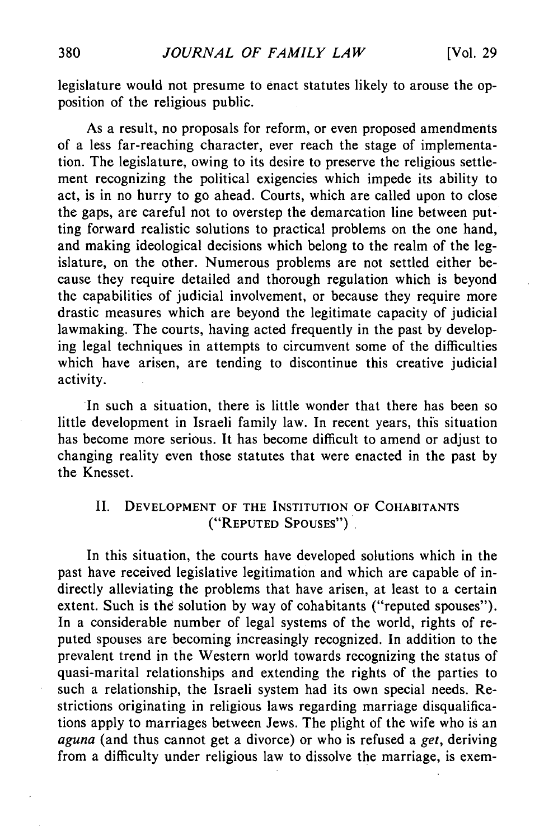legislature would not presume to enact statutes likely to arouse the opposition of the religious public.

As a result, no proposals for reform, or even proposed amendments of a less far-reaching character, ever reach the stage of implementation. The legislature, owing to its desire to preserve the religious settlement recognizing the political exigencies which impede its ability to act, is in no hurry to go ahead. Courts, which are called upon to close the gaps, are careful not to overstep the demarcation line between putting forward realistic solutions to practical problems on the one hand, and making ideological decisions which belong to the realm of the legislature, on the other. Numerous problems are not settled either because they require detailed and thorough regulation which is beyond the capabilities of judicial involvement, or because they require more drastic measures which are beyond the legitimate capacity of judicial lawmaking. The courts, having acted frequently in the past by developing legal techniques in attempts to circumvent some of the difficulties which have arisen, are tending to discontinue this creative judicial activity.

In such a situation, there is little wonder that there has been so little development in Israeli family law. In recent years, this situation has become more serious. It has become difficult to amend or adjust to changing reality even those statutes that were enacted in the past by the Knesset.

## II. **DEVELOPMENT** OF THE INSTITUTION OF COHABITANTS ("REPUTED **SPOUSES")**

In this situation, the courts have developed solutions which in the past have received legislative legitimation and which are capable of indirectly alleviating the problems that have arisen, at least to a certain extent. Such is the solution by way of cohabitants ("reputed spouses"). In a considerable number of legal systems of the world, rights of reputed spouses are becoming increasingly recognized. In addition to the prevalent trend in the Western world towards recognizing the status of quasi-marital relationships and extending the rights of the parties to such a relationship, the Israeli system had its own special needs. Restrictions originating in religious laws regarding marriage disqualifications apply to marriages between Jews. The plight of the wife who is an *aguna* (and thus cannot get a divorce) or who is refused a *get,* deriving from a difficulty under religious law to dissolve the marriage, is exem-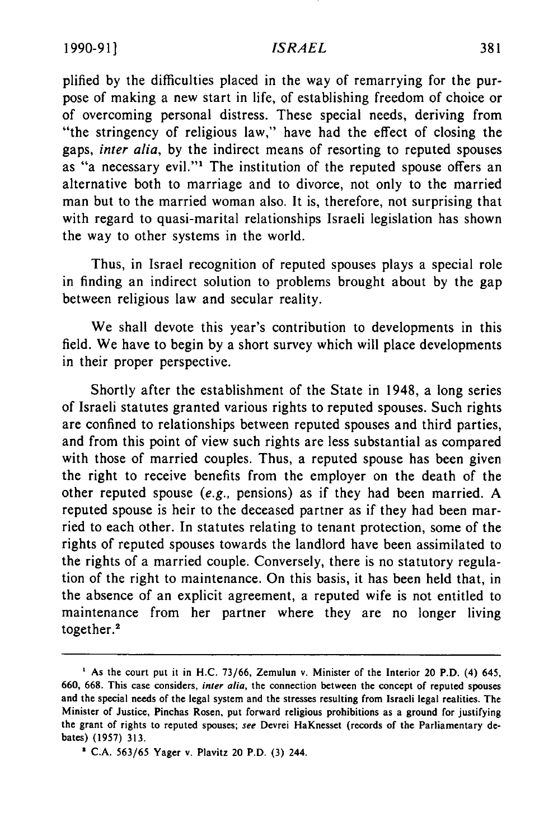#### *ISRAEL*

plified by the difficulties placed in the way of remarrying for the purpose of making a new start in life, of establishing freedom of choice or of overcoming personal distress. These special needs, deriving from "the stringency of religious law," have had the effect of closing the gaps, *inter alia,* by the indirect means of resorting to reputed spouses as "a necessary evil."<sup>1</sup> The institution of the reputed spouse offers an alternative both to marriage and to divorce, not only to the married man but to the married woman also. It is, therefore, not surprising that with regard to quasi-marital relationships Israeli legislation has shown the way to other systems in the world.

Thus, in Israel recognition of reputed spouses plays a special role in finding an indirect solution to problems brought about by the gap between religious law and secular reality.

We shall devote this year's contribution to developments in this field. We have to begin by a short survey which will place developments in their proper perspective.

Shortly after the establishment of the State in 1948, a long series of Israeli statutes granted various rights to reputed spouses. Such rights are confined to relationships between reputed spouses and third parties, and from this point of view such rights are less substantial as compared with those of married couples. Thus, a reputed spouse has been given the right to receive benefits from the employer on the death of the other reputed spouse *(e.g.,* pensions) as if they had been married. A reputed spouse is heir to the deceased partner as if they had been married to each other. In statutes relating to tenant protection, some of the rights of reputed spouses towards the landlord have been assimilated to the rights of a married couple. Conversely, there is no statutory regulation of the right to maintenance. On this basis, it has been held that, in the absence of an explicit agreement, a reputed wife is not entitled to maintenance from her partner where they are no longer living together.<sup>2</sup>

**I** As the court put it in H.C. 73/66, Zemulun v. Minister of the Interior 20 P.D. (4) 645, 660, 668. This case considers, inter alia, the connection between the concept of reputed spouses and the special needs of the legal system and the stresses resulting from Israeli legal realities. The Minister of Justice, Pinchas Rosen, put forward religious prohibitions as a ground for justifying the grant of rights to reputed spouses; see Devrei HaKnesset (records of the Parliamentary debates) (1957) **313.**

**<sup>\*</sup>** C.A. 563/65 Yager v. Plavitz 20 P.D. (3) 244.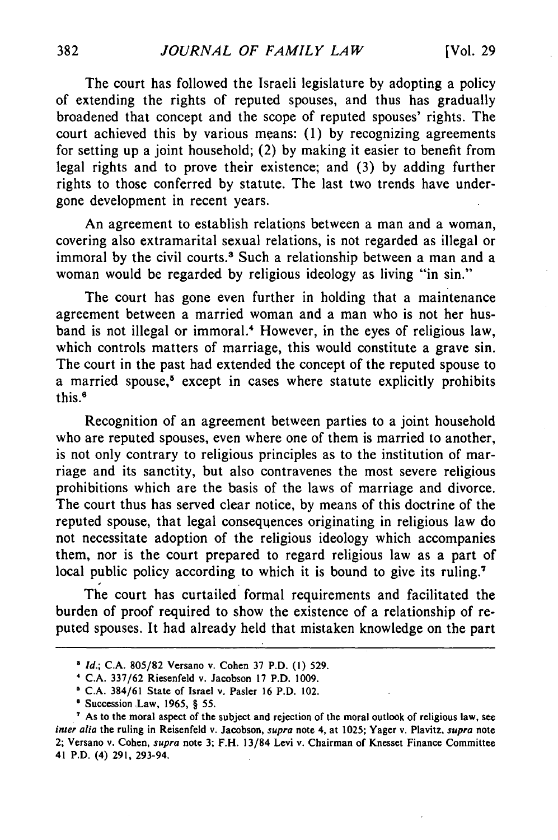The court has followed the Israeli legislature by adopting a policy of extending the rights of reputed spouses, and thus has gradually broadened that concept and the scope of reputed spouses' rights. The court achieved this by various means: (1) by recognizing agreements for setting up a joint household; (2) by making it easier to benefit from legal rights and to prove their existence; and (3) by adding further rights to those conferred by statute. The last two trends have undergone development in recent years.

An agreement to establish relations between a man and a woman, covering also extramarital sexual relations, is not regarded as illegal or immoral by the civil courts.<sup>3</sup> Such a relationship between a man and a woman would be regarded by religious ideology as living "in sin."

The court has gone even further in holding that a maintenance agreement between a married woman and a man who is not her husband is not illegal or immoral.' However, in the eyes of religious law, which controls matters of marriage, this would constitute a grave sin. The court in the past had extended the concept of the reputed spouse to a married spouse,<sup>8</sup> except in cases where statute explicitly prohibits this.<sup>6</sup>

Recognition of an agreement between parties to a joint household who are reputed spouses, even where one of them is married to another, is not only contrary to religious principles as to the institution of marriage and its sanctity, but also contravenes the most severe religious prohibitions which are the basis of the laws of marriage and divorce. The court thus has served clear notice, by means of this doctrine of the reputed spouse, that legal consequences originating in religious law do not necessitate adoption of the religious ideology which accompanies them, nor is the court prepared to regard religious law as a part of local public policy according to which it is bound to give its ruling.<sup>7</sup>

The court has curtailed formal requirements and facilitated the burden of proof required to show the existence of a relationship of reputed spouses. It had already held that mistaken knowledge on the part

*<sup>&</sup>quot; Id.;* **C.A. 805/82** Versano v. Cohen **37** P.D. **(1) 529.**

**<sup>&#</sup>x27; C.A. 337/62** Riesenfeld v. Jacobson **17** P.D. **1009.**

**<sup>5</sup> C.A. 384/61** State of Israel v. Pasler **16** P.D. 102.

**<sup>6</sup>** Succession Law, **1965,** § **55.**

As to the moral aspect of the subject and rejection of the moral outlook of religious law, see *inter alia* the ruling in Reisenfeld v. Jacobson, *supra* note 4, at **1025;** Yager v. Plavitz, *supra* note 2; Versano v. Cohen, *supra* note **3;** F.H. 13/84 Levi v. Chairman of Knesset Finance Committee 41 P.D. (4) **291,** 293-94.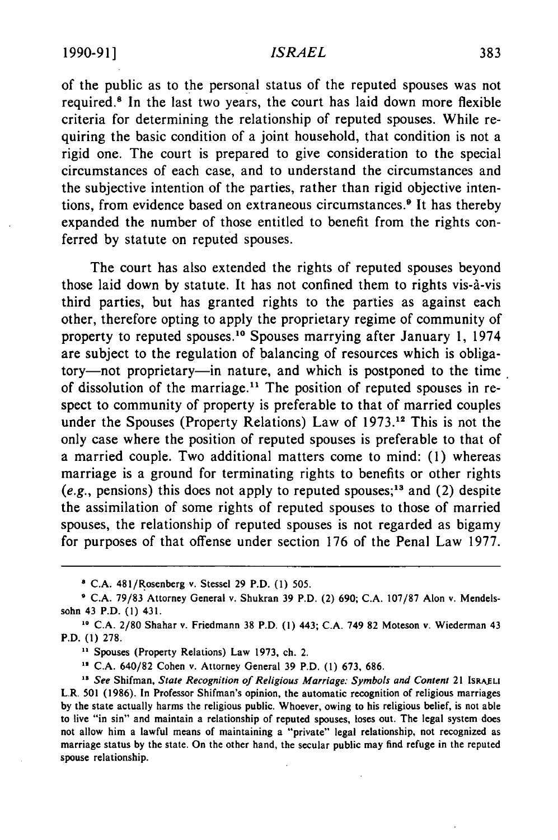#### *ISRAEL*

of the public as to the personal status of the reputed spouses was not required.<sup>8</sup> In the last two years, the court has laid down more flexible criteria for determining the relationship of reputed spouses. While requiring the basic condition of a joint household, that condition is not a rigid one. The court is prepared to give consideration to the special circumstances of each case, and to understand the circumstances and the subjective intention of the parties, rather than rigid objective intentions, from evidence based on extraneous circumstances.<sup>9</sup> It has thereby expanded the number of those entitled to benefit from the rights conferred by statute on reputed spouses.

The court has also extended the rights of reputed spouses beyond those laid down by statute. It has not confined them to rights vis-a-vis third parties, but has granted rights to the parties as against each other, therefore opting to apply the proprietary regime of community of property to reputed spouses.<sup>10</sup> Spouses marrying after January 1, 1974 are subject to the regulation of balancing of resources which is obligatory-not proprietary-in nature, and which is postponed to the time of dissolution of the marriage.<sup>11</sup> The position of reputed spouses in respect to community of property is preferable to that of married couples under the Spouses (Property Relations) Law of **1973.12** This is not the only case where the position of reputed spouses is preferable to that of a married couple. Two additional matters come to mind: (1) whereas marriage is a ground for terminating rights to benefits or other rights (e.g., pensions) this does not apply to reputed spouses;<sup>13</sup> and (2) despite the assimilation of some rights of reputed spouses to those of married spouses, the relationship of reputed spouses is not regarded as bigamy for purposes of that offense under section 176 of the Penal Law 1977.

**1 C.A. 481/Rosenberg** v. Stessel **29** P.D. **(1)** 505.

<sup>11</sup> Spouses (Property Relations) Law 1973, ch. 2.

C.A. 640/82 Cohen v. Attorney General 39 P.D. (1) 673, 686.

**<sup>9</sup>** C.A. 79/83 Attorney General v. Shukran 39 P.D. (2) 690; C.A. 107/87 Alon v. Mendelssohn 43 P.D. (1) 431.

**<sup>10</sup> C.A.** 2/80 Shahar v. Friedmann **38** P.D. (1) 443; C.A. 749 82 Moteson v. Wiederman 43 P.D. **(1)** 278.

**<sup>&</sup>quot;** *See* Shifman, *State Recognition of Religious Marriage:* Symbols and Content 21 **ISRAELI** L.R. **501 (1986).** In Professor Shifman's opinion, the automatic recognition of religious marriages **by** the state actually harms the religious public. Whoever, owing to his religious belief, is not able to live "in sin" and maintain a relationship of reputed spouses, loses out. The legal system does not allow him a lawful means of maintaining a "private" legal relationship, not recognized as marriage status **by** the state. On the other hand, the secular public may find refuge in the reputed spouse relationship.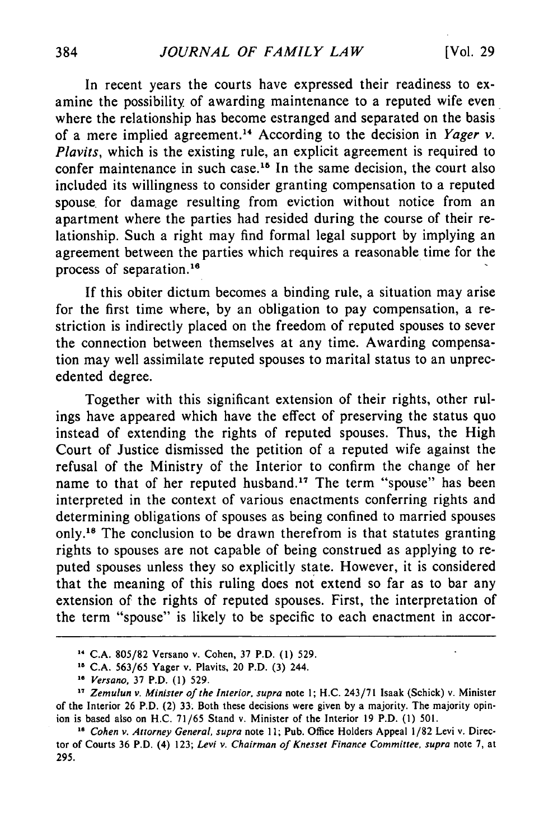In recent years the courts have expressed their readiness to examine the possibility of awarding maintenance to a reputed wife even where the relationship has become estranged and separated on the basis of a mere implied agreement. 4 According to the decision in *Yager v. Plavits,* which is the existing rule, an explicit agreement is required to confer maintenance in such case.<sup>15</sup> In the same decision, the court also included its willingness to consider granting compensation to a reputed spouse. for damage resulting from eviction without notice from an apartment where the parties had resided during the course of their relationship. Such a right may find formal legal support by implying an agreement between the parties which requires a reasonable time for the process of separation.<sup>16</sup>

If this obiter dictum becomes a binding rule, a situation may arise for the first time where, by an obligation to pay compensation, a restriction is indirectly placed on the freedom of reputed spouses to sever the connection between themselves at any time. Awarding compensation may well assimilate reputed spouses to marital status to an unprecedented degree.

Together with this significant extension of their rights, other rulings have appeared which have the effect of preserving the status quo instead of extending the rights of reputed spouses. Thus, the High Court of Justice dismissed the petition of a reputed wife against the refusal of the Ministry of the Interior to confirm the change of her name to that of her reputed husband." The term "spouse" has been interpreted in the context of various enactments conferring rights and determining obligations of spouses as being confined to married spouses only.<sup>18</sup> The conclusion to be drawn therefrom is that statutes granting rights to spouses are not capable of being construed as applying to reputed spouses unless they so explicitly state. However, it is considered that the meaning of this ruling does not extend so far as to bar any extension of the rights of reputed spouses. First, the interpretation of the term "spouse" is likely to be specific to each enactment in accor-

**C.A.** 805/82 Versano v. Cohen, 37 P.D. **(1) 529.**

**C.A. 563/65** Yager v. Plavits, 20 P.D. **(3)** 244.

**o** *Versano,* **37** P.D. **(1) 529.**

*<sup>&</sup>quot;* Zemulun *v. Minister of the Interior, supra* note **1; H.C.** 243/71 isaak (Schick) v. Minister of the Interior **26** P.D. (2) **33.** Both these decisions were given **by** a majority. The majority opinion is based also on **H.C. 71/65** Stand v. Minister of the Interior **19** P.D. **(1) 501.**

<sup>&</sup>lt;sup>16</sup> Cohen v. Attorney General, supra note 11; Pub. Office Holders Appeal 1/82 Levi v. Director of Courts **36** P.D. (4) **123;** *Levi v. Chairman of Knesset Finance Committee, supra* note **7,** at **295.**